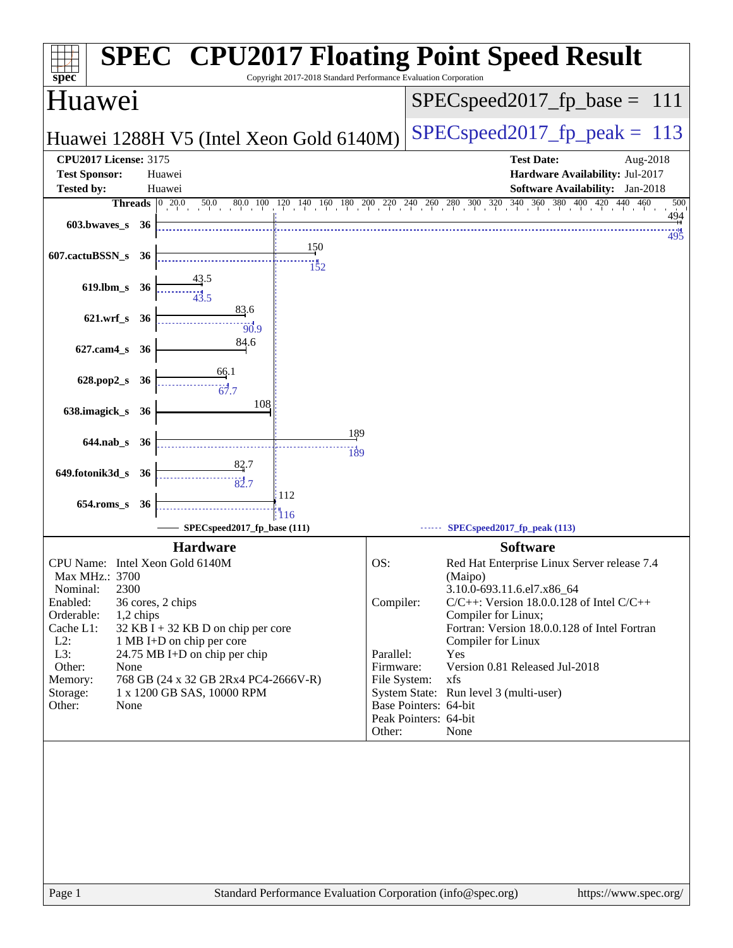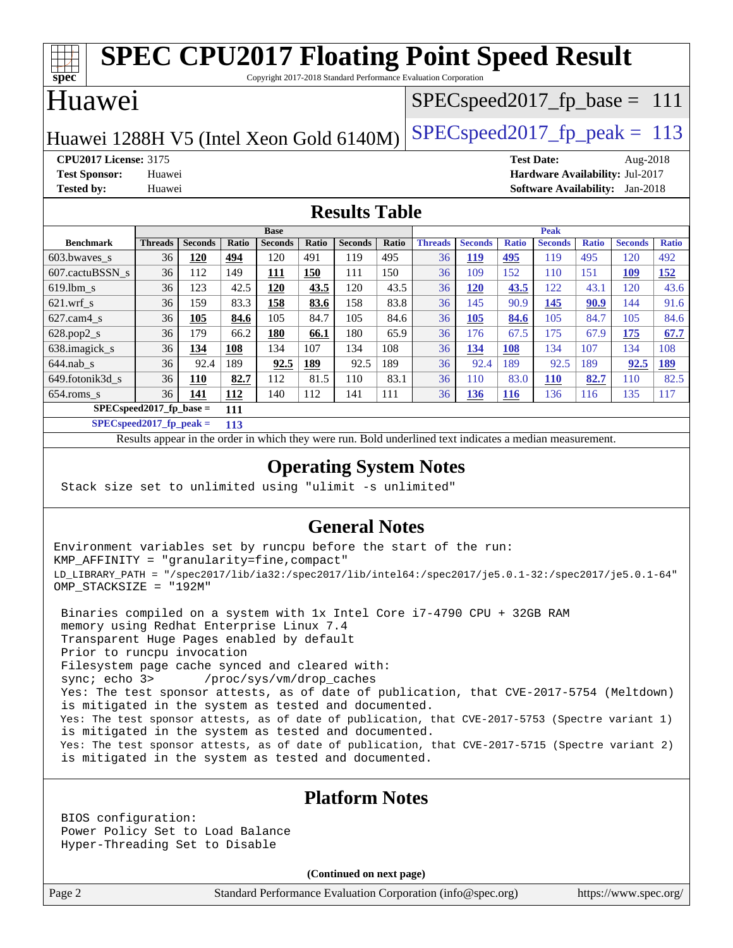#### **[spec](http://www.spec.org/) [SPEC CPU2017 Floating Point Speed Result](http://www.spec.org/auto/cpu2017/Docs/result-fields.html#SPECCPU2017FloatingPointSpeedResult)** Copyright 2017-2018 Standard Performance Evaluation Corporation Huawei Huawei 1288H V5 (Intel Xeon Gold  $6140M$ ) SPECspeed 2017 fp peak = 113 SPECspeed2017 fp base =  $111$ **[CPU2017 License:](http://www.spec.org/auto/cpu2017/Docs/result-fields.html#CPU2017License)** 3175 **[Test Date:](http://www.spec.org/auto/cpu2017/Docs/result-fields.html#TestDate)** Aug-2018 **[Test Sponsor:](http://www.spec.org/auto/cpu2017/Docs/result-fields.html#TestSponsor)** Huawei **[Hardware Availability:](http://www.spec.org/auto/cpu2017/Docs/result-fields.html#HardwareAvailability)** Jul-2017 **[Tested by:](http://www.spec.org/auto/cpu2017/Docs/result-fields.html#Testedby)** Huawei **[Software Availability:](http://www.spec.org/auto/cpu2017/Docs/result-fields.html#SoftwareAvailability)** Jan-2018 **[Results Table](http://www.spec.org/auto/cpu2017/Docs/result-fields.html#ResultsTable) [Benchmark](http://www.spec.org/auto/cpu2017/Docs/result-fields.html#Benchmark) [Threads](http://www.spec.org/auto/cpu2017/Docs/result-fields.html#Threads) [Seconds](http://www.spec.org/auto/cpu2017/Docs/result-fields.html#Seconds) [Ratio](http://www.spec.org/auto/cpu2017/Docs/result-fields.html#Ratio) [Seconds](http://www.spec.org/auto/cpu2017/Docs/result-fields.html#Seconds) [Ratio](http://www.spec.org/auto/cpu2017/Docs/result-fields.html#Ratio) [Seconds](http://www.spec.org/auto/cpu2017/Docs/result-fields.html#Seconds) [Ratio](http://www.spec.org/auto/cpu2017/Docs/result-fields.html#Ratio) Base [Threads](http://www.spec.org/auto/cpu2017/Docs/result-fields.html#Threads) [Seconds](http://www.spec.org/auto/cpu2017/Docs/result-fields.html#Seconds) [Ratio](http://www.spec.org/auto/cpu2017/Docs/result-fields.html#Ratio) [Seconds](http://www.spec.org/auto/cpu2017/Docs/result-fields.html#Seconds) [Ratio](http://www.spec.org/auto/cpu2017/Docs/result-fields.html#Ratio) [Seconds](http://www.spec.org/auto/cpu2017/Docs/result-fields.html#Seconds) [Ratio](http://www.spec.org/auto/cpu2017/Docs/result-fields.html#Ratio) Peak** [603.bwaves\\_s](http://www.spec.org/auto/cpu2017/Docs/benchmarks/603.bwaves_s.html) 36 **[120](http://www.spec.org/auto/cpu2017/Docs/result-fields.html#Median) [494](http://www.spec.org/auto/cpu2017/Docs/result-fields.html#Median)** 120 491 119 495 36 **[119](http://www.spec.org/auto/cpu2017/Docs/result-fields.html#Median) [495](http://www.spec.org/auto/cpu2017/Docs/result-fields.html#Median)** 119 495 120 492 [607.cactuBSSN\\_s](http://www.spec.org/auto/cpu2017/Docs/benchmarks/607.cactuBSSN_s.html) 36 112 149 **[111](http://www.spec.org/auto/cpu2017/Docs/result-fields.html#Median) [150](http://www.spec.org/auto/cpu2017/Docs/result-fields.html#Median)** 111 150 36 109 152 110 151 **[109](http://www.spec.org/auto/cpu2017/Docs/result-fields.html#Median) [152](http://www.spec.org/auto/cpu2017/Docs/result-fields.html#Median)** [619.lbm\\_s](http://www.spec.org/auto/cpu2017/Docs/benchmarks/619.lbm_s.html) 36 123 42.5 **[120](http://www.spec.org/auto/cpu2017/Docs/result-fields.html#Median) [43.5](http://www.spec.org/auto/cpu2017/Docs/result-fields.html#Median)** 120 43.5 36 **[120](http://www.spec.org/auto/cpu2017/Docs/result-fields.html#Median) [43.5](http://www.spec.org/auto/cpu2017/Docs/result-fields.html#Median)** 122 43.1 120 43.6 [621.wrf\\_s](http://www.spec.org/auto/cpu2017/Docs/benchmarks/621.wrf_s.html) 36 159 83.3 **[158](http://www.spec.org/auto/cpu2017/Docs/result-fields.html#Median) [83.6](http://www.spec.org/auto/cpu2017/Docs/result-fields.html#Median)** 158 83.8 36 145 90.9 **[145](http://www.spec.org/auto/cpu2017/Docs/result-fields.html#Median) [90.9](http://www.spec.org/auto/cpu2017/Docs/result-fields.html#Median)** 144 91.6 [627.cam4\\_s](http://www.spec.org/auto/cpu2017/Docs/benchmarks/627.cam4_s.html) 36 **[105](http://www.spec.org/auto/cpu2017/Docs/result-fields.html#Median) [84.6](http://www.spec.org/auto/cpu2017/Docs/result-fields.html#Median)** 105 84.7 105 84.6 36 **[105](http://www.spec.org/auto/cpu2017/Docs/result-fields.html#Median) [84.6](http://www.spec.org/auto/cpu2017/Docs/result-fields.html#Median)** 105 84.7 105 84.6 [628.pop2\\_s](http://www.spec.org/auto/cpu2017/Docs/benchmarks/628.pop2_s.html) 36 179 66.2 **[180](http://www.spec.org/auto/cpu2017/Docs/result-fields.html#Median) [66.1](http://www.spec.org/auto/cpu2017/Docs/result-fields.html#Median)** 180 65.9 36 176 67.5 175 67.9 **[175](http://www.spec.org/auto/cpu2017/Docs/result-fields.html#Median) [67.7](http://www.spec.org/auto/cpu2017/Docs/result-fields.html#Median)** [638.imagick\\_s](http://www.spec.org/auto/cpu2017/Docs/benchmarks/638.imagick_s.html) 36 **[134](http://www.spec.org/auto/cpu2017/Docs/result-fields.html#Median) [108](http://www.spec.org/auto/cpu2017/Docs/result-fields.html#Median)** 134 107 134 108 36 **[134](http://www.spec.org/auto/cpu2017/Docs/result-fields.html#Median) [108](http://www.spec.org/auto/cpu2017/Docs/result-fields.html#Median)** 134 107 134 108 [644.nab\\_s](http://www.spec.org/auto/cpu2017/Docs/benchmarks/644.nab_s.html) 36 92.4 189 **[92.5](http://www.spec.org/auto/cpu2017/Docs/result-fields.html#Median) [189](http://www.spec.org/auto/cpu2017/Docs/result-fields.html#Median)** 92.5 189 36 92.4 189 92.5 189 **[92.5](http://www.spec.org/auto/cpu2017/Docs/result-fields.html#Median) [189](http://www.spec.org/auto/cpu2017/Docs/result-fields.html#Median)** [649.fotonik3d\\_s](http://www.spec.org/auto/cpu2017/Docs/benchmarks/649.fotonik3d_s.html) 36 **[110](http://www.spec.org/auto/cpu2017/Docs/result-fields.html#Median) [82.7](http://www.spec.org/auto/cpu2017/Docs/result-fields.html#Median)** 112 81.5 110 83.1 36 110 83.0 **[110](http://www.spec.org/auto/cpu2017/Docs/result-fields.html#Median) [82.7](http://www.spec.org/auto/cpu2017/Docs/result-fields.html#Median)** 110 82.5 [654.roms\\_s](http://www.spec.org/auto/cpu2017/Docs/benchmarks/654.roms_s.html) 36 **[141](http://www.spec.org/auto/cpu2017/Docs/result-fields.html#Median) [112](http://www.spec.org/auto/cpu2017/Docs/result-fields.html#Median)** 140 112 141 111 36 **[136](http://www.spec.org/auto/cpu2017/Docs/result-fields.html#Median) [116](http://www.spec.org/auto/cpu2017/Docs/result-fields.html#Median)** 136 116 135 117 **[SPECspeed2017\\_fp\\_base =](http://www.spec.org/auto/cpu2017/Docs/result-fields.html#SPECspeed2017fpbase) 111**

**[SPECspeed2017\\_fp\\_peak =](http://www.spec.org/auto/cpu2017/Docs/result-fields.html#SPECspeed2017fppeak) 113**

Results appear in the [order in which they were run.](http://www.spec.org/auto/cpu2017/Docs/result-fields.html#RunOrder) Bold underlined text [indicates a median measurement](http://www.spec.org/auto/cpu2017/Docs/result-fields.html#Median).

### **[Operating System Notes](http://www.spec.org/auto/cpu2017/Docs/result-fields.html#OperatingSystemNotes)**

Stack size set to unlimited using "ulimit -s unlimited"

### **[General Notes](http://www.spec.org/auto/cpu2017/Docs/result-fields.html#GeneralNotes)**

Environment variables set by runcpu before the start of the run: KMP\_AFFINITY = "granularity=fine,compact" LD\_LIBRARY\_PATH = "/spec2017/lib/ia32:/spec2017/lib/intel64:/spec2017/je5.0.1-32:/spec2017/je5.0.1-64" OMP\_STACKSIZE = "192M"

 Binaries compiled on a system with 1x Intel Core i7-4790 CPU + 32GB RAM memory using Redhat Enterprise Linux 7.4 Transparent Huge Pages enabled by default Prior to runcpu invocation Filesystem page cache synced and cleared with: sync; echo 3> /proc/sys/vm/drop\_caches Yes: The test sponsor attests, as of date of publication, that CVE-2017-5754 (Meltdown) is mitigated in the system as tested and documented. Yes: The test sponsor attests, as of date of publication, that CVE-2017-5753 (Spectre variant 1) is mitigated in the system as tested and documented. Yes: The test sponsor attests, as of date of publication, that CVE-2017-5715 (Spectre variant 2) is mitigated in the system as tested and documented.

### **[Platform Notes](http://www.spec.org/auto/cpu2017/Docs/result-fields.html#PlatformNotes)**

 BIOS configuration: Power Policy Set to Load Balance Hyper-Threading Set to Disable

**(Continued on next page)**

Page 2 Standard Performance Evaluation Corporation [\(info@spec.org\)](mailto:info@spec.org) <https://www.spec.org/>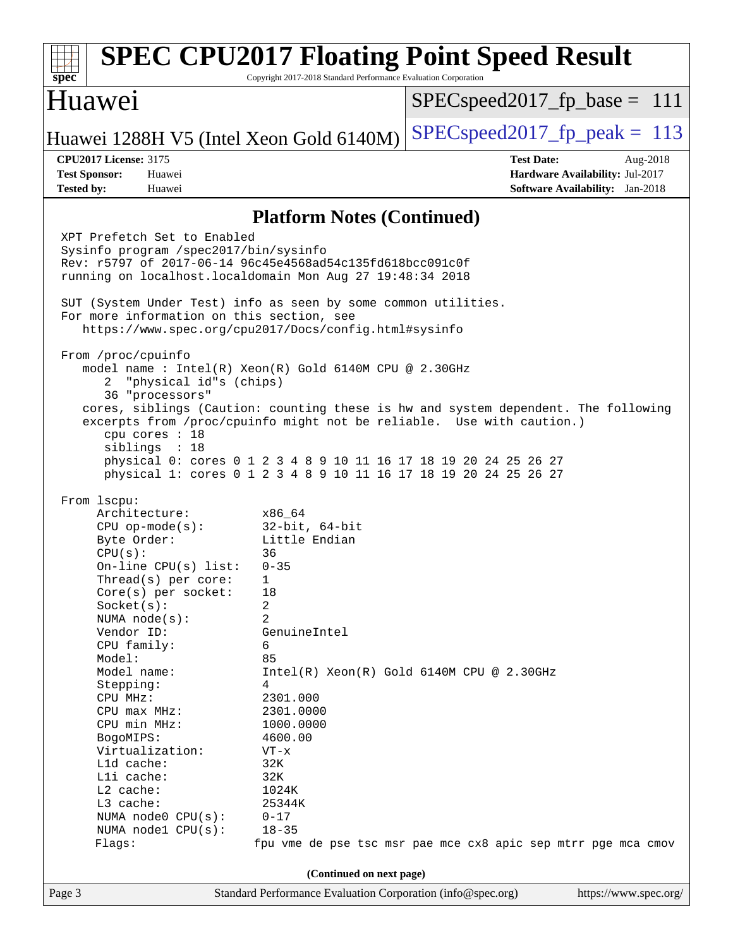| $spec*$                                                                                                                                                                                                                                                                                                                                                                                                                                                                                                                                                                                                                                                                                                                                                                                                                                                                                                                                                                                                                                                                                                                                                                                                                                                                                                                                              | <b>SPEC CPU2017 Floating Point Speed Result</b><br>Copyright 2017-2018 Standard Performance Evaluation Corporation                |  |  |
|------------------------------------------------------------------------------------------------------------------------------------------------------------------------------------------------------------------------------------------------------------------------------------------------------------------------------------------------------------------------------------------------------------------------------------------------------------------------------------------------------------------------------------------------------------------------------------------------------------------------------------------------------------------------------------------------------------------------------------------------------------------------------------------------------------------------------------------------------------------------------------------------------------------------------------------------------------------------------------------------------------------------------------------------------------------------------------------------------------------------------------------------------------------------------------------------------------------------------------------------------------------------------------------------------------------------------------------------------|-----------------------------------------------------------------------------------------------------------------------------------|--|--|
| Huawei                                                                                                                                                                                                                                                                                                                                                                                                                                                                                                                                                                                                                                                                                                                                                                                                                                                                                                                                                                                                                                                                                                                                                                                                                                                                                                                                               | $SPEC speed2017_fp\_base = 111$                                                                                                   |  |  |
| Huawei 1288H V5 (Intel Xeon Gold 6140M)                                                                                                                                                                                                                                                                                                                                                                                                                                                                                                                                                                                                                                                                                                                                                                                                                                                                                                                                                                                                                                                                                                                                                                                                                                                                                                              | $SPEC speed2017_fp\_peak = 113$                                                                                                   |  |  |
| <b>CPU2017 License: 3175</b><br><b>Test Sponsor:</b><br>Huawei<br><b>Tested by:</b><br>Huawei                                                                                                                                                                                                                                                                                                                                                                                                                                                                                                                                                                                                                                                                                                                                                                                                                                                                                                                                                                                                                                                                                                                                                                                                                                                        | <b>Test Date:</b><br>Aug-2018<br>Hardware Availability: Jul-2017<br><b>Software Availability:</b> Jan-2018                        |  |  |
|                                                                                                                                                                                                                                                                                                                                                                                                                                                                                                                                                                                                                                                                                                                                                                                                                                                                                                                                                                                                                                                                                                                                                                                                                                                                                                                                                      | <b>Platform Notes (Continued)</b>                                                                                                 |  |  |
| XPT Prefetch Set to Enabled<br>Sysinfo program /spec2017/bin/sysinfo<br>Rev: r5797 of 2017-06-14 96c45e4568ad54c135fd618bcc091c0f<br>running on localhost.localdomain Mon Aug 27 19:48:34 2018<br>SUT (System Under Test) info as seen by some common utilities.<br>For more information on this section, see<br>https://www.spec.org/cpu2017/Docs/config.html#sysinfo<br>From /proc/cpuinfo<br>model name: $Intel(R)$ Xeon(R) Gold 6140M CPU @ 2.30GHz<br>"physical id"s (chips)<br>2<br>36 "processors"<br>excerpts from /proc/cpuinfo might not be reliable. Use with caution.)<br>cpu cores : 18<br>siblings : 18<br>physical 0: cores 0 1 2 3 4 8 9 10 11 16 17 18 19 20 24 25 26 27<br>physical 1: cores 0 1 2 3 4 8 9 10 11 16 17 18 19 20 24 25 26 27<br>From 1scpu:<br>Architecture:<br>x86 64<br>32-bit, 64-bit<br>$CPU$ op-mode( $s$ ):<br>Byte Order:<br>Little Endian<br>CPU(s):<br>36<br>On-line CPU(s) list:<br>$0 - 35$<br>Thread(s) per core:<br>$\mathbf{1}$<br>$Core(s)$ per socket:<br>18<br>2<br>Socket(s):<br>$\overline{2}$<br>NUMA $node(s)$ :<br>Vendor ID:<br>GenuineIntel<br>CPU family:<br>6<br>Model:<br>85<br>Model name:<br>$\overline{4}$<br>Stepping:<br>CPU MHz:<br>2301.000<br>CPU max MHz:<br>2301.0000<br>CPU min MHz:<br>1000.0000<br>BogoMIPS:<br>4600.00<br>Virtualization:<br>$VT - x$<br>L1d cache:<br>32K | cores, siblings (Caution: counting these is hw and system dependent. The following<br>$Intel(R) Xeon(R) Gold 6140M CPU @ 2.30GHz$ |  |  |
| Lli cache:<br>32K<br>L2 cache:<br>1024K                                                                                                                                                                                                                                                                                                                                                                                                                                                                                                                                                                                                                                                                                                                                                                                                                                                                                                                                                                                                                                                                                                                                                                                                                                                                                                              |                                                                                                                                   |  |  |
| L3 cache:<br>25344K<br>NUMA node0 CPU(s):<br>$0 - 17$<br>NUMA nodel CPU(s):<br>$18 - 35$<br>Flags:                                                                                                                                                                                                                                                                                                                                                                                                                                                                                                                                                                                                                                                                                                                                                                                                                                                                                                                                                                                                                                                                                                                                                                                                                                                   | fpu vme de pse tsc msr pae mce cx8 apic sep mtrr pge mca cmov                                                                     |  |  |
| (Continued on next page)                                                                                                                                                                                                                                                                                                                                                                                                                                                                                                                                                                                                                                                                                                                                                                                                                                                                                                                                                                                                                                                                                                                                                                                                                                                                                                                             |                                                                                                                                   |  |  |
| Page 3                                                                                                                                                                                                                                                                                                                                                                                                                                                                                                                                                                                                                                                                                                                                                                                                                                                                                                                                                                                                                                                                                                                                                                                                                                                                                                                                               | Standard Performance Evaluation Corporation (info@spec.org)<br>https://www.spec.org/                                              |  |  |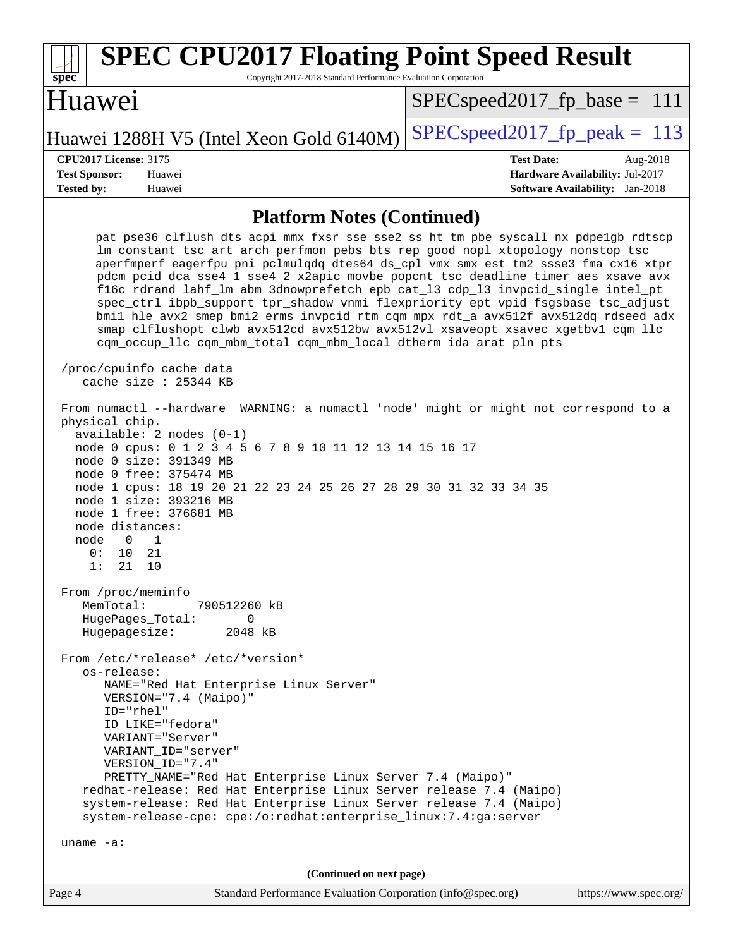| <b>SPEC CPU2017 Floating Point Speed Result</b><br>Copyright 2017-2018 Standard Performance Evaluation Corporation<br>spec <sup>®</sup>                                                                                                                                                                                                                                                                                                                                                                                                                                                                                                                                                                                                                              |                                                                                                            |
|----------------------------------------------------------------------------------------------------------------------------------------------------------------------------------------------------------------------------------------------------------------------------------------------------------------------------------------------------------------------------------------------------------------------------------------------------------------------------------------------------------------------------------------------------------------------------------------------------------------------------------------------------------------------------------------------------------------------------------------------------------------------|------------------------------------------------------------------------------------------------------------|
| Huawei                                                                                                                                                                                                                                                                                                                                                                                                                                                                                                                                                                                                                                                                                                                                                               | $SPEC speed2017_f p\_base = 111$                                                                           |
| Huawei 1288H V5 (Intel Xeon Gold 6140M)                                                                                                                                                                                                                                                                                                                                                                                                                                                                                                                                                                                                                                                                                                                              | $SPEC speed2017_fp\_peak = 113$                                                                            |
| <b>CPU2017 License: 3175</b><br><b>Test Sponsor:</b><br>Huawei<br><b>Tested by:</b><br>Huawei                                                                                                                                                                                                                                                                                                                                                                                                                                                                                                                                                                                                                                                                        | <b>Test Date:</b><br>Aug-2018<br>Hardware Availability: Jul-2017<br><b>Software Availability:</b> Jan-2018 |
| <b>Platform Notes (Continued)</b>                                                                                                                                                                                                                                                                                                                                                                                                                                                                                                                                                                                                                                                                                                                                    |                                                                                                            |
| pat pse36 clflush dts acpi mmx fxsr sse sse2 ss ht tm pbe syscall nx pdpelgb rdtscp<br>lm constant_tsc art arch_perfmon pebs bts rep_good nopl xtopology nonstop_tsc<br>aperfmperf eagerfpu pni pclmulqdq dtes64 ds_cpl vmx smx est tm2 ssse3 fma cx16 xtpr<br>pdcm pcid dca sse4_1 sse4_2 x2apic movbe popcnt tsc_deadline_timer aes xsave avx<br>f16c rdrand lahf_lm abm 3dnowprefetch epb cat_13 cdp_13 invpcid_single intel_pt<br>spec_ctrl ibpb_support tpr_shadow vnmi flexpriority ept vpid fsgsbase tsc_adjust<br>bmil hle avx2 smep bmi2 erms invpcid rtm cqm mpx rdt_a avx512f avx512dq rdseed adx<br>smap clflushopt clwb avx512cd avx512bw avx512vl xsaveopt xsavec xgetbvl cqm_llc<br>cqm_occup_llc cqm_mbm_total cqm_mbm_local dtherm ida arat pln pts |                                                                                                            |
| /proc/cpuinfo cache data<br>cache size : $25344$ KB                                                                                                                                                                                                                                                                                                                                                                                                                                                                                                                                                                                                                                                                                                                  |                                                                                                            |
| From numactl --hardware WARNING: a numactl 'node' might or might not correspond to a<br>physical chip.<br>$available: 2 nodes (0-1)$<br>node 0 cpus: 0 1 2 3 4 5 6 7 8 9 10 11 12 13 14 15 16 17<br>node 0 size: 391349 MB<br>node 0 free: 375474 MB<br>node 1 cpus: 18 19 20 21 22 23 24 25 26 27 28 29 30 31 32 33 34 35<br>node 1 size: 393216 MB<br>node 1 free: 376681 MB<br>node distances:<br>node<br>$\Omega$<br>1<br>0:<br>10<br>21<br>1:<br>21<br>10                                                                                                                                                                                                                                                                                                       |                                                                                                            |
| From /proc/meminfo<br>MemTotal:<br>790512260 kB<br>HugePages_Total:<br>0<br>Hugepagesize:<br>2048 kB                                                                                                                                                                                                                                                                                                                                                                                                                                                                                                                                                                                                                                                                 |                                                                                                            |
| From /etc/*release* /etc/*version*<br>os-release:<br>NAME="Red Hat Enterprise Linux Server"<br>VERSION="7.4 (Maipo)"<br>ID="rhel"<br>ID_LIKE="fedora"<br>VARIANT="Server"<br>VARIANT_ID="server"<br>VERSION_ID="7.4"<br>PRETTY_NAME="Red Hat Enterprise Linux Server 7.4 (Maipo)"<br>redhat-release: Red Hat Enterprise Linux Server release 7.4 (Maipo)<br>system-release: Red Hat Enterprise Linux Server release 7.4 (Maipo)<br>system-release-cpe: cpe:/o:redhat:enterprise_linux:7.4:ga:server<br>uname $-a$ :                                                                                                                                                                                                                                                  |                                                                                                            |
| (Continued on next page)                                                                                                                                                                                                                                                                                                                                                                                                                                                                                                                                                                                                                                                                                                                                             |                                                                                                            |
| Standard Performance Evaluation Corporation (info@spec.org)<br>Page 4                                                                                                                                                                                                                                                                                                                                                                                                                                                                                                                                                                                                                                                                                                | https://www.spec.org/                                                                                      |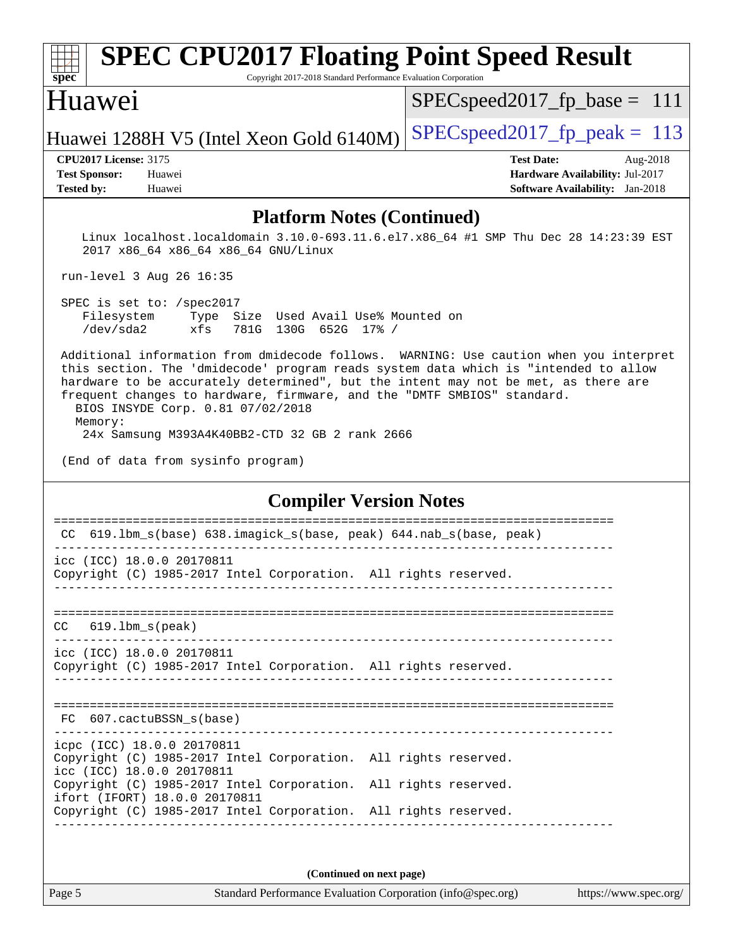### **[spec](http://www.spec.org/) [SPEC CPU2017 Floating Point Speed Result](http://www.spec.org/auto/cpu2017/Docs/result-fields.html#SPECCPU2017FloatingPointSpeedResult)** Copyright 2017-2018 Standard Performance Evaluation Corporation Huawei Huawei 1288H V5 (Intel Xeon Gold  $6140M$ ) [SPECspeed2017\\_fp\\_peak =](http://www.spec.org/auto/cpu2017/Docs/result-fields.html#SPECspeed2017fppeak) 113 SPECspeed2017 fp base =  $111$ **[CPU2017 License:](http://www.spec.org/auto/cpu2017/Docs/result-fields.html#CPU2017License)** 3175 **[Test Date:](http://www.spec.org/auto/cpu2017/Docs/result-fields.html#TestDate)** Aug-2018 **[Test Sponsor:](http://www.spec.org/auto/cpu2017/Docs/result-fields.html#TestSponsor)** Huawei **[Hardware Availability:](http://www.spec.org/auto/cpu2017/Docs/result-fields.html#HardwareAvailability)** Jul-2017 **[Tested by:](http://www.spec.org/auto/cpu2017/Docs/result-fields.html#Testedby)** Huawei **[Software Availability:](http://www.spec.org/auto/cpu2017/Docs/result-fields.html#SoftwareAvailability)** Jan-2018 **[Platform Notes \(Continued\)](http://www.spec.org/auto/cpu2017/Docs/result-fields.html#PlatformNotes)** Linux localhost.localdomain 3.10.0-693.11.6.el7.x86\_64 #1 SMP Thu Dec 28 14:23:39 EST 2017 x86\_64 x86\_64 x86\_64 GNU/Linux run-level 3 Aug 26 16:35 SPEC is set to: /spec2017 Filesystem Type Size Used Avail Use% Mounted on /dev/sda2 xfs 781G 130G 652G 17% / Additional information from dmidecode follows. WARNING: Use caution when you interpret this section. The 'dmidecode' program reads system data which is "intended to allow hardware to be accurately determined", but the intent may not be met, as there are frequent changes to hardware, firmware, and the "DMTF SMBIOS" standard. BIOS INSYDE Corp. 0.81 07/02/2018 Memory: 24x Samsung M393A4K40BB2-CTD 32 GB 2 rank 2666 (End of data from sysinfo program) **[Compiler Version Notes](http://www.spec.org/auto/cpu2017/Docs/result-fields.html#CompilerVersionNotes)** ============================================================================== CC 619.lbm\_s(base) 638.imagick\_s(base, peak) 644.nab\_s(base, peak) ----------------------------------------------------------------------------- icc (ICC) 18.0.0 20170811 Copyright (C) 1985-2017 Intel Corporation. All rights reserved. ------------------------------------------------------------------------------ ============================================================================== CC 619.lbm\_s(peak) ----------------------------------------------------------------------------- icc (ICC) 18.0.0 20170811 Copyright (C) 1985-2017 Intel Corporation. All rights reserved. ------------------------------------------------------------------------------ ============================================================================== FC 607.cactuBSSN\_s(base) ----------------------------------------------------------------------------- icpc (ICC) 18.0.0 20170811 Copyright (C) 1985-2017 Intel Corporation. All rights reserved. icc (ICC) 18.0.0 20170811 Copyright (C) 1985-2017 Intel Corporation. All rights reserved. ifort (IFORT) 18.0.0 20170811 Copyright (C) 1985-2017 Intel Corporation. All rights reserved. ------------------------------------------------------------------------------

**(Continued on next page)**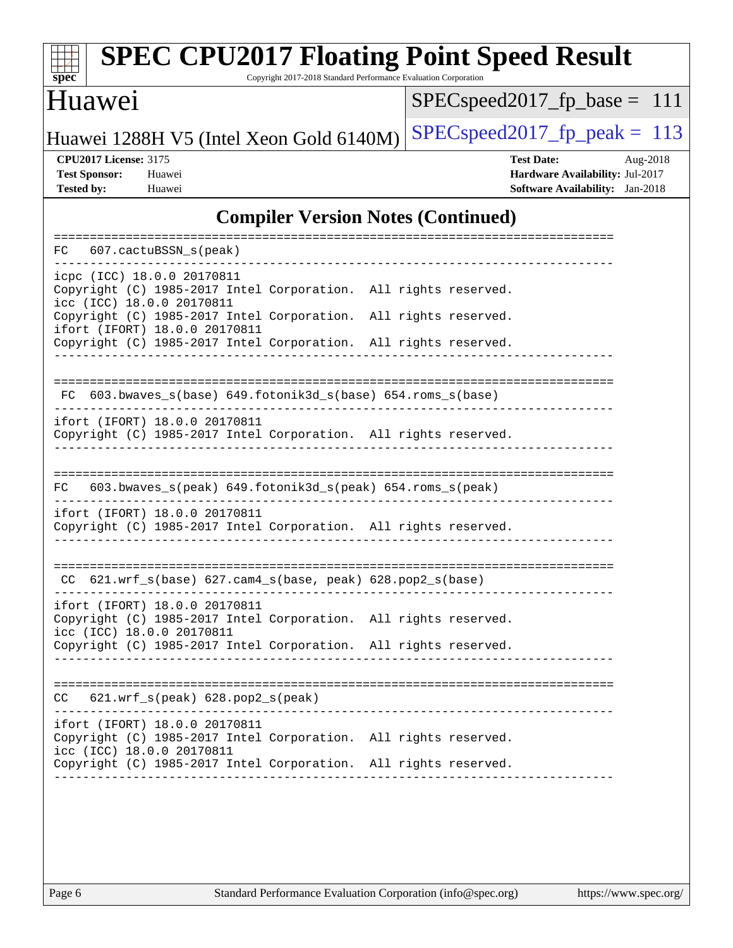| <b>SPEC CPU2017 Floating Point Speed Result</b><br>Copyright 2017-2018 Standard Performance Evaluation Corporation<br>$sp\overline{ec}$                             |                                                                                                            |  |
|---------------------------------------------------------------------------------------------------------------------------------------------------------------------|------------------------------------------------------------------------------------------------------------|--|
| Huawei                                                                                                                                                              | $SPEC speed2017_fp\_base = 111$                                                                            |  |
| Huawei 1288H V5 (Intel Xeon Gold 6140M)                                                                                                                             | $SPEC speed2017_fp\_peak = 113$                                                                            |  |
| <b>CPU2017 License: 3175</b><br><b>Test Sponsor:</b><br>Huawei<br><b>Tested by:</b><br>Huawei                                                                       | <b>Test Date:</b><br>Aug-2018<br>Hardware Availability: Jul-2017<br><b>Software Availability:</b> Jan-2018 |  |
| <b>Compiler Version Notes (Continued)</b>                                                                                                                           |                                                                                                            |  |
| 607.cactuBSSN s(peak)<br>FC.<br>-----------------                                                                                                                   |                                                                                                            |  |
| icpc (ICC) 18.0.0 20170811<br>Copyright (C) 1985-2017 Intel Corporation. All rights reserved.<br>icc (ICC) 18.0.0 20170811                                          |                                                                                                            |  |
| Copyright (C) 1985-2017 Intel Corporation. All rights reserved.<br>ifort (IFORT) 18.0.0 20170811<br>Copyright (C) 1985-2017 Intel Corporation. All rights reserved. |                                                                                                            |  |
| FC 603.bwaves_s(base) 649.fotonik3d_s(base) 654.roms_s(base)                                                                                                        |                                                                                                            |  |
| ifort (IFORT) 18.0.0 20170811<br>Copyright (C) 1985-2017 Intel Corporation. All rights reserved.                                                                    |                                                                                                            |  |
| 603.bwaves_s(peak) 649.fotonik3d_s(peak) 654.roms_s(peak)<br>FC                                                                                                     |                                                                                                            |  |
| ifort (IFORT) 18.0.0 20170811<br>Copyright (C) 1985-2017 Intel Corporation. All rights reserved.                                                                    |                                                                                                            |  |
| $CC$ 621.wrf_s(base) 627.cam4_s(base, peak) 628.pop2_s(base)                                                                                                        |                                                                                                            |  |
| ifort (IFORT) 18.0.0 20170811<br>Copyright (C) 1985-2017 Intel Corporation. All rights reserved.<br>icc (ICC) 18.0.0 20170811                                       |                                                                                                            |  |
| Copyright (C) 1985-2017 Intel Corporation. All rights reserved.                                                                                                     |                                                                                                            |  |

============================================================================== CC 621.wrf\_s(peak) 628.pop2\_s(peak) ----------------------------------------------------------------------------- ifort (IFORT) 18.0.0 20170811 Copyright (C) 1985-2017 Intel Corporation. All rights reserved.

icc (ICC) 18.0.0 20170811

Copyright (C) 1985-2017 Intel Corporation. All rights reserved. ------------------------------------------------------------------------------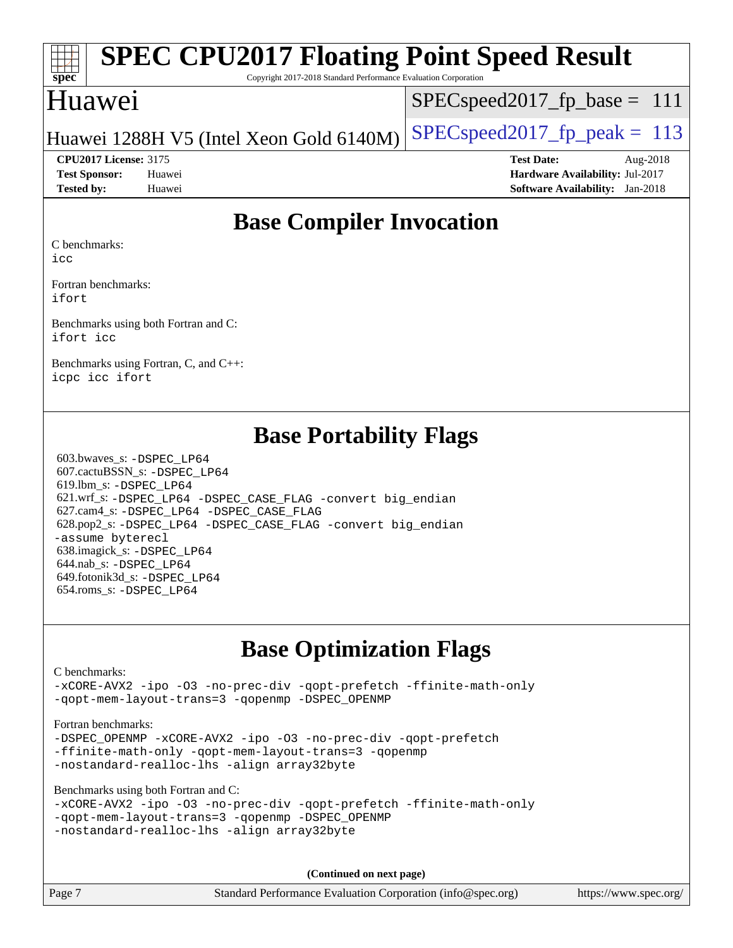|                      | <b>EXAMPLE SPEC CPU2017 Floating Point Speed Result</b>         |  |  |  |
|----------------------|-----------------------------------------------------------------|--|--|--|
| ${\rm spec^{\circ}}$ | Copyright 2017-2018 Standard Performance Evaluation Corporation |  |  |  |
|                      |                                                                 |  |  |  |

### Huawei

 $SPEC speed2017_fp\_base = 111$ 

### Huawei 1288H V5 (Intel Xeon Gold  $6140M$ ) [SPECspeed2017\\_fp\\_peak =](http://www.spec.org/auto/cpu2017/Docs/result-fields.html#SPECspeed2017fppeak) 113

**[Test Sponsor:](http://www.spec.org/auto/cpu2017/Docs/result-fields.html#TestSponsor)** Huawei **[Hardware Availability:](http://www.spec.org/auto/cpu2017/Docs/result-fields.html#HardwareAvailability)** Jul-2017 **[Tested by:](http://www.spec.org/auto/cpu2017/Docs/result-fields.html#Testedby)** Huawei **[Software Availability:](http://www.spec.org/auto/cpu2017/Docs/result-fields.html#SoftwareAvailability)** Jan-2018

**[CPU2017 License:](http://www.spec.org/auto/cpu2017/Docs/result-fields.html#CPU2017License)** 3175 **[Test Date:](http://www.spec.org/auto/cpu2017/Docs/result-fields.html#TestDate)** Aug-2018

# **[Base Compiler Invocation](http://www.spec.org/auto/cpu2017/Docs/result-fields.html#BaseCompilerInvocation)**

[C benchmarks:](http://www.spec.org/auto/cpu2017/Docs/result-fields.html#Cbenchmarks)

[icc](http://www.spec.org/cpu2017/results/res2018q3/cpu2017-20180828-08699.flags.html#user_CCbase_intel_icc_18.0_66fc1ee009f7361af1fbd72ca7dcefbb700085f36577c54f309893dd4ec40d12360134090235512931783d35fd58c0460139e722d5067c5574d8eaf2b3e37e92)

[Fortran benchmarks](http://www.spec.org/auto/cpu2017/Docs/result-fields.html#Fortranbenchmarks): [ifort](http://www.spec.org/cpu2017/results/res2018q3/cpu2017-20180828-08699.flags.html#user_FCbase_intel_ifort_18.0_8111460550e3ca792625aed983ce982f94888b8b503583aa7ba2b8303487b4d8a21a13e7191a45c5fd58ff318f48f9492884d4413fa793fd88dd292cad7027ca)

[Benchmarks using both Fortran and C:](http://www.spec.org/auto/cpu2017/Docs/result-fields.html#BenchmarksusingbothFortranandC) [ifort](http://www.spec.org/cpu2017/results/res2018q3/cpu2017-20180828-08699.flags.html#user_CC_FCbase_intel_ifort_18.0_8111460550e3ca792625aed983ce982f94888b8b503583aa7ba2b8303487b4d8a21a13e7191a45c5fd58ff318f48f9492884d4413fa793fd88dd292cad7027ca) [icc](http://www.spec.org/cpu2017/results/res2018q3/cpu2017-20180828-08699.flags.html#user_CC_FCbase_intel_icc_18.0_66fc1ee009f7361af1fbd72ca7dcefbb700085f36577c54f309893dd4ec40d12360134090235512931783d35fd58c0460139e722d5067c5574d8eaf2b3e37e92)

[Benchmarks using Fortran, C, and C++:](http://www.spec.org/auto/cpu2017/Docs/result-fields.html#BenchmarksusingFortranCandCXX) [icpc](http://www.spec.org/cpu2017/results/res2018q3/cpu2017-20180828-08699.flags.html#user_CC_CXX_FCbase_intel_icpc_18.0_c510b6838c7f56d33e37e94d029a35b4a7bccf4766a728ee175e80a419847e808290a9b78be685c44ab727ea267ec2f070ec5dc83b407c0218cded6866a35d07) [icc](http://www.spec.org/cpu2017/results/res2018q3/cpu2017-20180828-08699.flags.html#user_CC_CXX_FCbase_intel_icc_18.0_66fc1ee009f7361af1fbd72ca7dcefbb700085f36577c54f309893dd4ec40d12360134090235512931783d35fd58c0460139e722d5067c5574d8eaf2b3e37e92) [ifort](http://www.spec.org/cpu2017/results/res2018q3/cpu2017-20180828-08699.flags.html#user_CC_CXX_FCbase_intel_ifort_18.0_8111460550e3ca792625aed983ce982f94888b8b503583aa7ba2b8303487b4d8a21a13e7191a45c5fd58ff318f48f9492884d4413fa793fd88dd292cad7027ca)

## **[Base Portability Flags](http://www.spec.org/auto/cpu2017/Docs/result-fields.html#BasePortabilityFlags)**

 603.bwaves\_s: [-DSPEC\\_LP64](http://www.spec.org/cpu2017/results/res2018q3/cpu2017-20180828-08699.flags.html#suite_basePORTABILITY603_bwaves_s_DSPEC_LP64) 607.cactuBSSN\_s: [-DSPEC\\_LP64](http://www.spec.org/cpu2017/results/res2018q3/cpu2017-20180828-08699.flags.html#suite_basePORTABILITY607_cactuBSSN_s_DSPEC_LP64) 619.lbm\_s: [-DSPEC\\_LP64](http://www.spec.org/cpu2017/results/res2018q3/cpu2017-20180828-08699.flags.html#suite_basePORTABILITY619_lbm_s_DSPEC_LP64) 621.wrf\_s: [-DSPEC\\_LP64](http://www.spec.org/cpu2017/results/res2018q3/cpu2017-20180828-08699.flags.html#suite_basePORTABILITY621_wrf_s_DSPEC_LP64) [-DSPEC\\_CASE\\_FLAG](http://www.spec.org/cpu2017/results/res2018q3/cpu2017-20180828-08699.flags.html#b621.wrf_s_baseCPORTABILITY_DSPEC_CASE_FLAG) [-convert big\\_endian](http://www.spec.org/cpu2017/results/res2018q3/cpu2017-20180828-08699.flags.html#user_baseFPORTABILITY621_wrf_s_convert_big_endian_c3194028bc08c63ac5d04de18c48ce6d347e4e562e8892b8bdbdc0214820426deb8554edfa529a3fb25a586e65a3d812c835984020483e7e73212c4d31a38223) 627.cam4\_s: [-DSPEC\\_LP64](http://www.spec.org/cpu2017/results/res2018q3/cpu2017-20180828-08699.flags.html#suite_basePORTABILITY627_cam4_s_DSPEC_LP64) [-DSPEC\\_CASE\\_FLAG](http://www.spec.org/cpu2017/results/res2018q3/cpu2017-20180828-08699.flags.html#b627.cam4_s_baseCPORTABILITY_DSPEC_CASE_FLAG) 628.pop2\_s: [-DSPEC\\_LP64](http://www.spec.org/cpu2017/results/res2018q3/cpu2017-20180828-08699.flags.html#suite_basePORTABILITY628_pop2_s_DSPEC_LP64) [-DSPEC\\_CASE\\_FLAG](http://www.spec.org/cpu2017/results/res2018q3/cpu2017-20180828-08699.flags.html#b628.pop2_s_baseCPORTABILITY_DSPEC_CASE_FLAG) [-convert big\\_endian](http://www.spec.org/cpu2017/results/res2018q3/cpu2017-20180828-08699.flags.html#user_baseFPORTABILITY628_pop2_s_convert_big_endian_c3194028bc08c63ac5d04de18c48ce6d347e4e562e8892b8bdbdc0214820426deb8554edfa529a3fb25a586e65a3d812c835984020483e7e73212c4d31a38223) [-assume byterecl](http://www.spec.org/cpu2017/results/res2018q3/cpu2017-20180828-08699.flags.html#user_baseFPORTABILITY628_pop2_s_assume_byterecl_7e47d18b9513cf18525430bbf0f2177aa9bf368bc7a059c09b2c06a34b53bd3447c950d3f8d6c70e3faf3a05c8557d66a5798b567902e8849adc142926523472) 638.imagick\_s: [-DSPEC\\_LP64](http://www.spec.org/cpu2017/results/res2018q3/cpu2017-20180828-08699.flags.html#suite_basePORTABILITY638_imagick_s_DSPEC_LP64) 644.nab\_s: [-DSPEC\\_LP64](http://www.spec.org/cpu2017/results/res2018q3/cpu2017-20180828-08699.flags.html#suite_basePORTABILITY644_nab_s_DSPEC_LP64) 649.fotonik3d\_s: [-DSPEC\\_LP64](http://www.spec.org/cpu2017/results/res2018q3/cpu2017-20180828-08699.flags.html#suite_basePORTABILITY649_fotonik3d_s_DSPEC_LP64) 654.roms\_s: [-DSPEC\\_LP64](http://www.spec.org/cpu2017/results/res2018q3/cpu2017-20180828-08699.flags.html#suite_basePORTABILITY654_roms_s_DSPEC_LP64)

# **[Base Optimization Flags](http://www.spec.org/auto/cpu2017/Docs/result-fields.html#BaseOptimizationFlags)**

#### [C benchmarks](http://www.spec.org/auto/cpu2017/Docs/result-fields.html#Cbenchmarks):

[-xCORE-AVX2](http://www.spec.org/cpu2017/results/res2018q3/cpu2017-20180828-08699.flags.html#user_CCbase_f-xCORE-AVX2) [-ipo](http://www.spec.org/cpu2017/results/res2018q3/cpu2017-20180828-08699.flags.html#user_CCbase_f-ipo) [-O3](http://www.spec.org/cpu2017/results/res2018q3/cpu2017-20180828-08699.flags.html#user_CCbase_f-O3) [-no-prec-div](http://www.spec.org/cpu2017/results/res2018q3/cpu2017-20180828-08699.flags.html#user_CCbase_f-no-prec-div) [-qopt-prefetch](http://www.spec.org/cpu2017/results/res2018q3/cpu2017-20180828-08699.flags.html#user_CCbase_f-qopt-prefetch) [-ffinite-math-only](http://www.spec.org/cpu2017/results/res2018q3/cpu2017-20180828-08699.flags.html#user_CCbase_f_finite_math_only_cb91587bd2077682c4b38af759c288ed7c732db004271a9512da14a4f8007909a5f1427ecbf1a0fb78ff2a814402c6114ac565ca162485bbcae155b5e4258871) [-qopt-mem-layout-trans=3](http://www.spec.org/cpu2017/results/res2018q3/cpu2017-20180828-08699.flags.html#user_CCbase_f-qopt-mem-layout-trans_de80db37974c74b1f0e20d883f0b675c88c3b01e9d123adea9b28688d64333345fb62bc4a798493513fdb68f60282f9a726aa07f478b2f7113531aecce732043) [-qopenmp](http://www.spec.org/cpu2017/results/res2018q3/cpu2017-20180828-08699.flags.html#user_CCbase_qopenmp_16be0c44f24f464004c6784a7acb94aca937f053568ce72f94b139a11c7c168634a55f6653758ddd83bcf7b8463e8028bb0b48b77bcddc6b78d5d95bb1df2967) [-DSPEC\\_OPENMP](http://www.spec.org/cpu2017/results/res2018q3/cpu2017-20180828-08699.flags.html#suite_CCbase_DSPEC_OPENMP)

#### [Fortran benchmarks](http://www.spec.org/auto/cpu2017/Docs/result-fields.html#Fortranbenchmarks):

[-DSPEC\\_OPENMP](http://www.spec.org/cpu2017/results/res2018q3/cpu2017-20180828-08699.flags.html#suite_FCbase_DSPEC_OPENMP) [-xCORE-AVX2](http://www.spec.org/cpu2017/results/res2018q3/cpu2017-20180828-08699.flags.html#user_FCbase_f-xCORE-AVX2) [-ipo](http://www.spec.org/cpu2017/results/res2018q3/cpu2017-20180828-08699.flags.html#user_FCbase_f-ipo) [-O3](http://www.spec.org/cpu2017/results/res2018q3/cpu2017-20180828-08699.flags.html#user_FCbase_f-O3) [-no-prec-div](http://www.spec.org/cpu2017/results/res2018q3/cpu2017-20180828-08699.flags.html#user_FCbase_f-no-prec-div) [-qopt-prefetch](http://www.spec.org/cpu2017/results/res2018q3/cpu2017-20180828-08699.flags.html#user_FCbase_f-qopt-prefetch) [-ffinite-math-only](http://www.spec.org/cpu2017/results/res2018q3/cpu2017-20180828-08699.flags.html#user_FCbase_f_finite_math_only_cb91587bd2077682c4b38af759c288ed7c732db004271a9512da14a4f8007909a5f1427ecbf1a0fb78ff2a814402c6114ac565ca162485bbcae155b5e4258871) [-qopt-mem-layout-trans=3](http://www.spec.org/cpu2017/results/res2018q3/cpu2017-20180828-08699.flags.html#user_FCbase_f-qopt-mem-layout-trans_de80db37974c74b1f0e20d883f0b675c88c3b01e9d123adea9b28688d64333345fb62bc4a798493513fdb68f60282f9a726aa07f478b2f7113531aecce732043) [-qopenmp](http://www.spec.org/cpu2017/results/res2018q3/cpu2017-20180828-08699.flags.html#user_FCbase_qopenmp_16be0c44f24f464004c6784a7acb94aca937f053568ce72f94b139a11c7c168634a55f6653758ddd83bcf7b8463e8028bb0b48b77bcddc6b78d5d95bb1df2967) [-nostandard-realloc-lhs](http://www.spec.org/cpu2017/results/res2018q3/cpu2017-20180828-08699.flags.html#user_FCbase_f_2003_std_realloc_82b4557e90729c0f113870c07e44d33d6f5a304b4f63d4c15d2d0f1fab99f5daaed73bdb9275d9ae411527f28b936061aa8b9c8f2d63842963b95c9dd6426b8a) [-align array32byte](http://www.spec.org/cpu2017/results/res2018q3/cpu2017-20180828-08699.flags.html#user_FCbase_align_array32byte_b982fe038af199962ba9a80c053b8342c548c85b40b8e86eb3cc33dee0d7986a4af373ac2d51c3f7cf710a18d62fdce2948f201cd044323541f22fc0fffc51b6)

[Benchmarks using both Fortran and C](http://www.spec.org/auto/cpu2017/Docs/result-fields.html#BenchmarksusingbothFortranandC):

|  |                                            |                                                 | -xCORE-AVX2 -ipo -03 -no-prec-div -qopt-prefetch -ffinite-math-only |
|--|--------------------------------------------|-------------------------------------------------|---------------------------------------------------------------------|
|  |                                            | -gopt-mem-layout-trans=3 -gopenmp -DSPEC OPENMP |                                                                     |
|  | -nostandard-realloc-lhs -align array32byte |                                                 |                                                                     |

**(Continued on next page)**

Page 7 Standard Performance Evaluation Corporation [\(info@spec.org\)](mailto:info@spec.org) <https://www.spec.org/>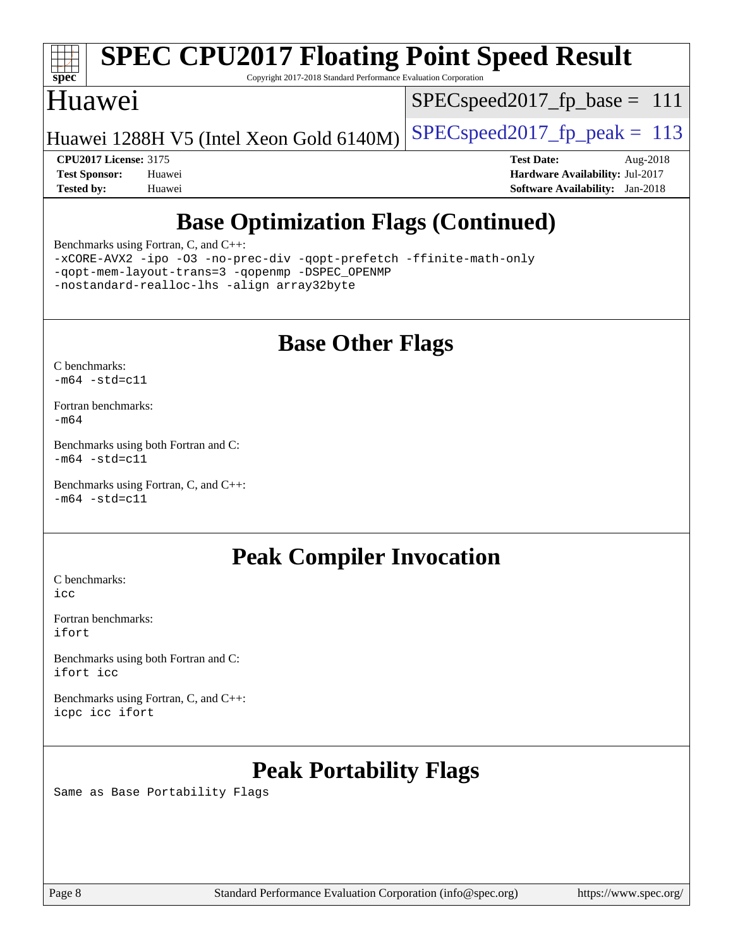

# **[SPEC CPU2017 Floating Point Speed Result](http://www.spec.org/auto/cpu2017/Docs/result-fields.html#SPECCPU2017FloatingPointSpeedResult)**

Copyright 2017-2018 Standard Performance Evaluation Corporation

### Huawei

 $SPEC speed2017_fp\_base = 111$ 

Huawei 1288H V5 (Intel Xeon Gold  $6140M$ ) [SPECspeed2017\\_fp\\_peak =](http://www.spec.org/auto/cpu2017/Docs/result-fields.html#SPECspeed2017fppeak) 113

**[CPU2017 License:](http://www.spec.org/auto/cpu2017/Docs/result-fields.html#CPU2017License)** 3175 **[Test Date:](http://www.spec.org/auto/cpu2017/Docs/result-fields.html#TestDate)** Aug-2018 **[Test Sponsor:](http://www.spec.org/auto/cpu2017/Docs/result-fields.html#TestSponsor)** Huawei **[Hardware Availability:](http://www.spec.org/auto/cpu2017/Docs/result-fields.html#HardwareAvailability)** Jul-2017 **[Tested by:](http://www.spec.org/auto/cpu2017/Docs/result-fields.html#Testedby)** Huawei **[Software Availability:](http://www.spec.org/auto/cpu2017/Docs/result-fields.html#SoftwareAvailability)** Jan-2018

# **[Base Optimization Flags \(Continued\)](http://www.spec.org/auto/cpu2017/Docs/result-fields.html#BaseOptimizationFlags)**

[Benchmarks using Fortran, C, and C++:](http://www.spec.org/auto/cpu2017/Docs/result-fields.html#BenchmarksusingFortranCandCXX)

[-xCORE-AVX2](http://www.spec.org/cpu2017/results/res2018q3/cpu2017-20180828-08699.flags.html#user_CC_CXX_FCbase_f-xCORE-AVX2) [-ipo](http://www.spec.org/cpu2017/results/res2018q3/cpu2017-20180828-08699.flags.html#user_CC_CXX_FCbase_f-ipo) [-O3](http://www.spec.org/cpu2017/results/res2018q3/cpu2017-20180828-08699.flags.html#user_CC_CXX_FCbase_f-O3) [-no-prec-div](http://www.spec.org/cpu2017/results/res2018q3/cpu2017-20180828-08699.flags.html#user_CC_CXX_FCbase_f-no-prec-div) [-qopt-prefetch](http://www.spec.org/cpu2017/results/res2018q3/cpu2017-20180828-08699.flags.html#user_CC_CXX_FCbase_f-qopt-prefetch) [-ffinite-math-only](http://www.spec.org/cpu2017/results/res2018q3/cpu2017-20180828-08699.flags.html#user_CC_CXX_FCbase_f_finite_math_only_cb91587bd2077682c4b38af759c288ed7c732db004271a9512da14a4f8007909a5f1427ecbf1a0fb78ff2a814402c6114ac565ca162485bbcae155b5e4258871) [-qopt-mem-layout-trans=3](http://www.spec.org/cpu2017/results/res2018q3/cpu2017-20180828-08699.flags.html#user_CC_CXX_FCbase_f-qopt-mem-layout-trans_de80db37974c74b1f0e20d883f0b675c88c3b01e9d123adea9b28688d64333345fb62bc4a798493513fdb68f60282f9a726aa07f478b2f7113531aecce732043) [-qopenmp](http://www.spec.org/cpu2017/results/res2018q3/cpu2017-20180828-08699.flags.html#user_CC_CXX_FCbase_qopenmp_16be0c44f24f464004c6784a7acb94aca937f053568ce72f94b139a11c7c168634a55f6653758ddd83bcf7b8463e8028bb0b48b77bcddc6b78d5d95bb1df2967) [-DSPEC\\_OPENMP](http://www.spec.org/cpu2017/results/res2018q3/cpu2017-20180828-08699.flags.html#suite_CC_CXX_FCbase_DSPEC_OPENMP) [-nostandard-realloc-lhs](http://www.spec.org/cpu2017/results/res2018q3/cpu2017-20180828-08699.flags.html#user_CC_CXX_FCbase_f_2003_std_realloc_82b4557e90729c0f113870c07e44d33d6f5a304b4f63d4c15d2d0f1fab99f5daaed73bdb9275d9ae411527f28b936061aa8b9c8f2d63842963b95c9dd6426b8a) [-align array32byte](http://www.spec.org/cpu2017/results/res2018q3/cpu2017-20180828-08699.flags.html#user_CC_CXX_FCbase_align_array32byte_b982fe038af199962ba9a80c053b8342c548c85b40b8e86eb3cc33dee0d7986a4af373ac2d51c3f7cf710a18d62fdce2948f201cd044323541f22fc0fffc51b6)

## **[Base Other Flags](http://www.spec.org/auto/cpu2017/Docs/result-fields.html#BaseOtherFlags)**

[C benchmarks](http://www.spec.org/auto/cpu2017/Docs/result-fields.html#Cbenchmarks):  $-m64 - std= c11$  $-m64 - std= c11$ 

[Fortran benchmarks](http://www.spec.org/auto/cpu2017/Docs/result-fields.html#Fortranbenchmarks): [-m64](http://www.spec.org/cpu2017/results/res2018q3/cpu2017-20180828-08699.flags.html#user_FCbase_intel_intel64_18.0_af43caccfc8ded86e7699f2159af6efc7655f51387b94da716254467f3c01020a5059329e2569e4053f409e7c9202a7efc638f7a6d1ffb3f52dea4a3e31d82ab)

[Benchmarks using both Fortran and C](http://www.spec.org/auto/cpu2017/Docs/result-fields.html#BenchmarksusingbothFortranandC):  $-m64$   $-std=cl1$ 

[Benchmarks using Fortran, C, and C++:](http://www.spec.org/auto/cpu2017/Docs/result-fields.html#BenchmarksusingFortranCandCXX)  $-m64$   $-std=cl1$ 

## **[Peak Compiler Invocation](http://www.spec.org/auto/cpu2017/Docs/result-fields.html#PeakCompilerInvocation)**

[C benchmarks](http://www.spec.org/auto/cpu2017/Docs/result-fields.html#Cbenchmarks): [icc](http://www.spec.org/cpu2017/results/res2018q3/cpu2017-20180828-08699.flags.html#user_CCpeak_intel_icc_18.0_66fc1ee009f7361af1fbd72ca7dcefbb700085f36577c54f309893dd4ec40d12360134090235512931783d35fd58c0460139e722d5067c5574d8eaf2b3e37e92)

[Fortran benchmarks](http://www.spec.org/auto/cpu2017/Docs/result-fields.html#Fortranbenchmarks): [ifort](http://www.spec.org/cpu2017/results/res2018q3/cpu2017-20180828-08699.flags.html#user_FCpeak_intel_ifort_18.0_8111460550e3ca792625aed983ce982f94888b8b503583aa7ba2b8303487b4d8a21a13e7191a45c5fd58ff318f48f9492884d4413fa793fd88dd292cad7027ca)

[Benchmarks using both Fortran and C](http://www.spec.org/auto/cpu2017/Docs/result-fields.html#BenchmarksusingbothFortranandC): [ifort](http://www.spec.org/cpu2017/results/res2018q3/cpu2017-20180828-08699.flags.html#user_CC_FCpeak_intel_ifort_18.0_8111460550e3ca792625aed983ce982f94888b8b503583aa7ba2b8303487b4d8a21a13e7191a45c5fd58ff318f48f9492884d4413fa793fd88dd292cad7027ca) [icc](http://www.spec.org/cpu2017/results/res2018q3/cpu2017-20180828-08699.flags.html#user_CC_FCpeak_intel_icc_18.0_66fc1ee009f7361af1fbd72ca7dcefbb700085f36577c54f309893dd4ec40d12360134090235512931783d35fd58c0460139e722d5067c5574d8eaf2b3e37e92)

[Benchmarks using Fortran, C, and C++:](http://www.spec.org/auto/cpu2017/Docs/result-fields.html#BenchmarksusingFortranCandCXX) [icpc](http://www.spec.org/cpu2017/results/res2018q3/cpu2017-20180828-08699.flags.html#user_CC_CXX_FCpeak_intel_icpc_18.0_c510b6838c7f56d33e37e94d029a35b4a7bccf4766a728ee175e80a419847e808290a9b78be685c44ab727ea267ec2f070ec5dc83b407c0218cded6866a35d07) [icc](http://www.spec.org/cpu2017/results/res2018q3/cpu2017-20180828-08699.flags.html#user_CC_CXX_FCpeak_intel_icc_18.0_66fc1ee009f7361af1fbd72ca7dcefbb700085f36577c54f309893dd4ec40d12360134090235512931783d35fd58c0460139e722d5067c5574d8eaf2b3e37e92) [ifort](http://www.spec.org/cpu2017/results/res2018q3/cpu2017-20180828-08699.flags.html#user_CC_CXX_FCpeak_intel_ifort_18.0_8111460550e3ca792625aed983ce982f94888b8b503583aa7ba2b8303487b4d8a21a13e7191a45c5fd58ff318f48f9492884d4413fa793fd88dd292cad7027ca)

# **[Peak Portability Flags](http://www.spec.org/auto/cpu2017/Docs/result-fields.html#PeakPortabilityFlags)**

Same as Base Portability Flags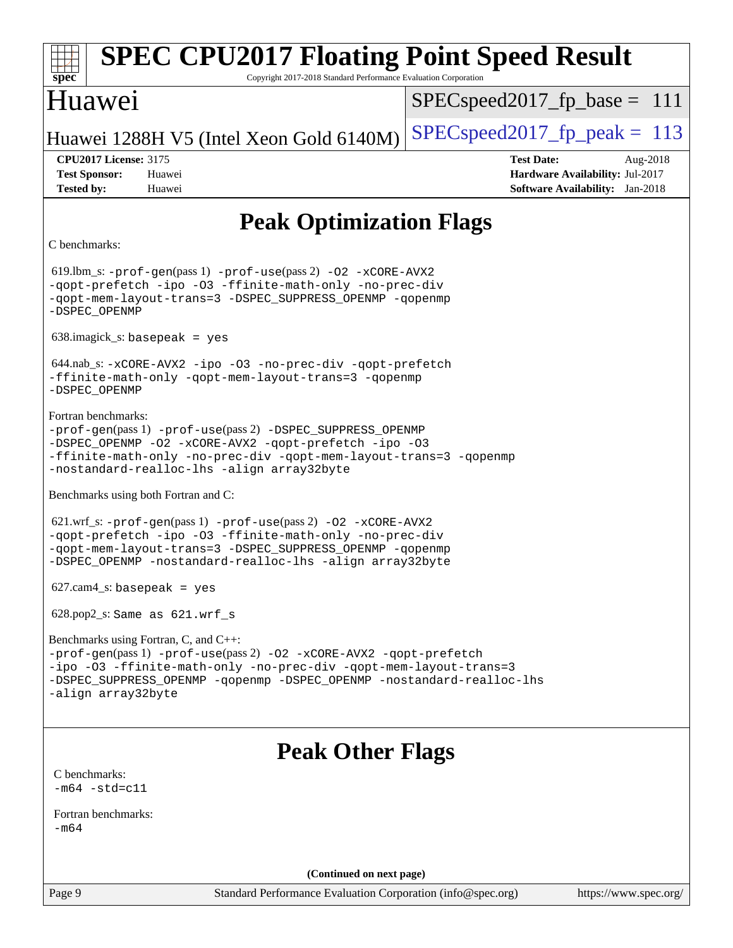| <b>SPEC CPU2017 Floating Point Speed Result</b><br>spec<br>Copyright 2017-2018 Standard Performance Evaluation Corporation                                                                                                                                                      |                                                                                                            |  |  |
|---------------------------------------------------------------------------------------------------------------------------------------------------------------------------------------------------------------------------------------------------------------------------------|------------------------------------------------------------------------------------------------------------|--|--|
| Huawei                                                                                                                                                                                                                                                                          | $SPEC speed2017_f p\_base = 111$                                                                           |  |  |
| Huawei 1288H V5 (Intel Xeon Gold 6140M)                                                                                                                                                                                                                                         | $SPEC speed2017_fp\_peak = 113$                                                                            |  |  |
| <b>CPU2017 License: 3175</b><br><b>Test Sponsor:</b><br>Huawei<br><b>Tested by:</b><br>Huawei                                                                                                                                                                                   | <b>Test Date:</b><br>Aug-2018<br>Hardware Availability: Jul-2017<br><b>Software Availability:</b> Jan-2018 |  |  |
| <b>Peak Optimization Flags</b>                                                                                                                                                                                                                                                  |                                                                                                            |  |  |
| C benchmarks:                                                                                                                                                                                                                                                                   |                                                                                                            |  |  |
| $619.$ lbm_s: -prof-gen(pass 1) -prof-use(pass 2) -02 -xCORE-AVX2<br>-qopt-prefetch -ipo -03 -ffinite-math-only -no-prec-div<br>-qopt-mem-layout-trans=3 -DSPEC_SUPPRESS_OPENMP -qopenmp<br>-DSPEC_OPENMP                                                                       |                                                                                                            |  |  |
| $638.\text{imagek}_s:$ basepeak = yes                                                                                                                                                                                                                                           |                                                                                                            |  |  |
| $644.nab_s: -xCORE-AVX2 -ipo -03 -no-prec-div -qopt-prefetch$<br>-ffinite-math-only -qopt-mem-layout-trans=3 -qopenmp<br>-DSPEC OPENMP                                                                                                                                          |                                                                                                            |  |  |
| Fortran benchmarks:<br>-prof-gen(pass 1) -prof-use(pass 2) -DSPEC_SUPPRESS_OPENMP<br>-DSPEC_OPENMP -02 -xCORE-AVX2 -qopt-prefetch -ipo -03<br>-ffinite-math-only -no-prec-div -qopt-mem-layout-trans=3 -qopenmp<br>-nostandard-realloc-lhs -align array32byte                   |                                                                                                            |  |  |
| Benchmarks using both Fortran and C:                                                                                                                                                                                                                                            |                                                                                                            |  |  |
| $621.wrf$ _s: -prof-gen(pass 1) -prof-use(pass 2) -02 -xCORE-AVX2<br>-qopt-prefetch -ipo -03 -ffinite-math-only -no-prec-div<br>-gopt-mem-layout-trans=3 -DSPEC_SUPPRESS_OPENMP -gopenmp<br>-DSPEC_OPENMP -nostandard-realloc-lhs -align array32byte                            |                                                                                                            |  |  |
| $627$ .cam $4$ _s: basepeak = yes                                                                                                                                                                                                                                               |                                                                                                            |  |  |
| $628.pop2_s: Same as 621.wrf_s$                                                                                                                                                                                                                                                 |                                                                                                            |  |  |
| Benchmarks using Fortran, C, and C++:<br>-prof-gen(pass 1) -prof-use(pass 2) -02 -xCORE-AVX2 -qopt-prefetch<br>-ipo -03 -ffinite-math-only -no-prec-div -qopt-mem-layout-trans=3<br>-DSPEC_SUPPRESS_OPENMP -qopenmp -DSPEC_OPENMP -nostandard-realloc-lhs<br>-align array32byte |                                                                                                            |  |  |
| <b>Peak Other Flags</b><br>C benchmarks:                                                                                                                                                                                                                                        |                                                                                                            |  |  |
| $-m64 - std= c11$                                                                                                                                                                                                                                                               |                                                                                                            |  |  |
| Fortran benchmarks:<br>$-m64$                                                                                                                                                                                                                                                   |                                                                                                            |  |  |
| (Continued on next page)                                                                                                                                                                                                                                                        |                                                                                                            |  |  |
| Page 9<br>Standard Performance Evaluation Corporation (info@spec.org)                                                                                                                                                                                                           | https://www.spec.org/                                                                                      |  |  |